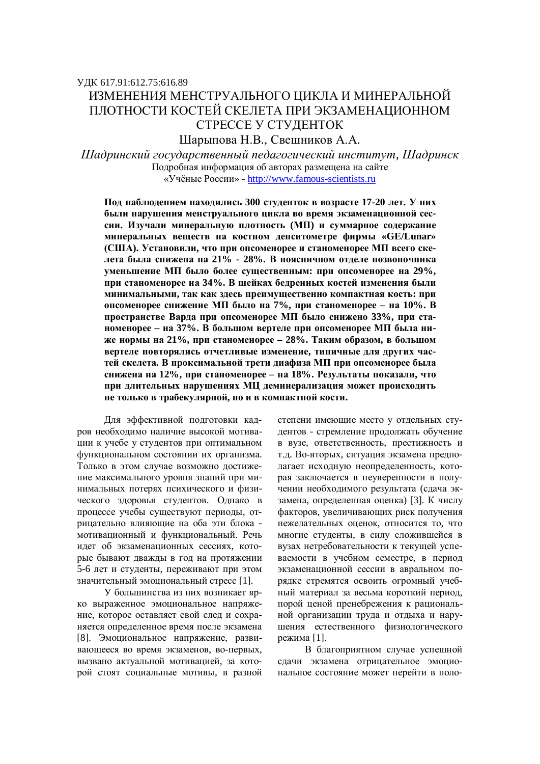# ɍȾɄ 617.91:612.75:616.89 ИЗМЕНЕНИЯ МЕНСТРУАЛЬНОГО ШИКЛА И МИНЕРАЛЬНОЙ ПЛОТНОСТИ КОСТЕЙ СКЕЛЕТА ПРИ ЭКЗАМЕНАЦИОННОМ СТРЕССЕ У СТУДЕНТОК

Шарыпова Н.В., Свешников А.А.

*ɒɚɞɪɢɧɫɤɢɣɝɨɫɭɞɚɪɫɬɜɟɧɧɵɣɩɟɞɚɝɨɝɢɱɟɫɤɢɣɢɧɫɬɢɬɭɬ, ɒɚɞɪɢɧɫɤ* Подробная информация об авторах размещена на сайте «Учёные России» - http://www.famous-scientists.ru

Под наблюдением находились 300 студенток в возрасте 17-20 лет. У них были нарушения менструального цикла во время экзаменационной сессии. Изучали минеральную плотность (МП) и суммарное содержание **МИНЕРАЛЬНЫХ ВЕШЕСТВ НА КОСТНОМ ЛЕНСИТОМЕТРЕ ФИРМЫ «GE/Lunar»** (США). Установили, что при опсоменорее и станоменорее МП всего скелета была снижена на 21% - 28%. В поясничном отделе позвоночника уменьшение МП было более существенным: при опсоменорее на 29%, при станоменорее на 34%. В шейках бедренных костей изменения были **минимальными, так как здесь преимущественно компактная кость: при упсоменорее снижение МП было на 7%, при станоменорее – на 10%. В** пространстве Варда при опсоменорее МП было снижено 33%, при станоменорее – на 37%. В большом вертеле при опсоменорее МП была ни-Же нормы на 21%, при станоменорее - 28%. Таким образом, в большом **вертеле повторялись отчетливые изменение, типичные для других час**тей скелета. В проксимальной трети диафиза МП при опсоменорее была **снижена на 12%, при станоменорее – на 18%. Результаты показали, что** при длительных нарушениях МЦ деминерализация может происходить **НЕ ТОЛЬКО В ТРАФЕКУЛЯРНОЙ, НО И В КОМПАКТНОЙ КОСТИ.** 

Для эффективной подготовки кадров необходимо наличие высокой мотивации к учебе у студентов при оптимальном функциональном состоянии их организма. Только в этом случае возможно достижение максимального уровня знаний при минимальных потерях психического и физического здоровья студентов. Однако в процессе учебы существуют периоды, отрицательно влияющие на оба эти блока мотивационный и функциональный. Речь идет об экзаменационных сессиях, которые бывают дважды в год на протяжении 5-6 лет и студенты, переживают при этом значительный эмоциональный стресс [1].

У большинства из них возникает ярко выраженное эмоциональное напряжение, которое оставляет свой след и сохраняется определенное время после экзамена [8]. Эмоциональное напряжение, развивающееся во время экзаменов, во-первых, вызвано актуальной мотивацией, за которой стоят социальные мотивы, в разной степени имеющие место у отдельных студентов - стремление продолжать обучение в вузе, ответственность, престижность и т.д. Во-вторых, ситуация экзамена предполагает исходную неопределенность, которая заключается в неуверенности в получении необходимого результата (сдача экзамена, определенная оценка) [3]. К числу факторов, увеличивающих риск получения нежелательных оценок, относится то, что многие студенты, в силу сложившейся в вузах нетребовательности к текущей успеваемости в учебном семестре, в период экзаменационной сессии в авральном порядке стремятся освоить огромный учебный материал за весьма короткий период, порой ценой пренебрежения к рациональной организации труда и отдыха и нарушения естественного физиологического режима [1].

В благоприятном случае успешной слачи экзамена отрицательное эмоциональное состояние может перейти в поло-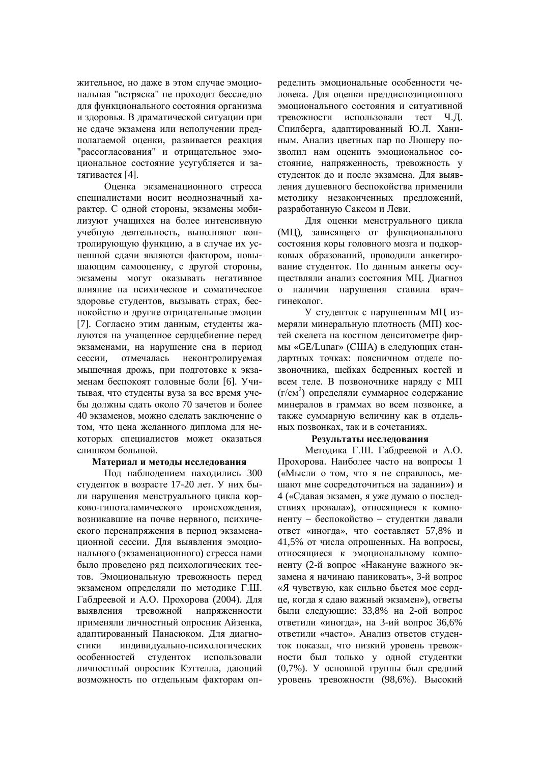жительное, но даже в этом случае эмоциональная "встряска" не проходит бесследно для функционального состояния организма и здоровья. В драматической ситуации при не сдаче экзамена или неполучении предполагаемой оценки, развивается реакция "рассогласования" и отрицательное эмоциональное состояние усугубляется и затягивается [4].

Оценка экзаменационного стресса специалистами носит неоднозначный характер. С одной стороны, экзамены мобилизуют учащихся на более интенсивную учебную деятельность, выполняют контролирующую функцию, а в случае их успешной сдачи являются фактором, повышающим самооценку, с другой стороны, экзамены могут оказывать негативное влияние на психическое и соматическое здоровье студентов, вызывать страх, беспокойство и другие отрицательные эмоции [7]. Согласно этим данным, студенты жалуются на учащенное сердцебиение перед экзаменами, на нарушение сна в период сессии, отмечалась неконтролируемая мышечная дрожь, при подготовке к экзаменам беспокоят головные боли [6]. Учитывая, что студенты вуза за все время учебы должны слать около 70 зачетов и более 40 экзаменов, можно слелать заключение о том, что цена желанного диплома для некоторых специалистов может оказаться слишком большой.

### Материал и методы исследования

Под наблюдением находились 300 студенток в возрасте 17-20 лет. У них были нарушения менструального цикла корково-гипоталамического происхождения, возникавшие на почве нервного, психического перенапряжения в период экзаменашионной сессии. Для выявления эмоционального (экзаменационного) стресса нами было проведено ряд психологических тестов. Эмоциональную тревожность перед экзаменом определяли по методике Г.Ш. Габдреевой и А.О. Прохорова (2004). Для выявления тревожной напряженности применяли личностный опросник Айзенка. алаптированный Панасюком. Для лиагностики индивидуально-психологических особенностей студенток использовали личностный опросник Кэттелла, дающий возможность по отдельным факторам определить эмоциональные особенности человека. Для оценки преддиспозиционного эмоционального состояния и ситуативной тревожности использовали тест Ч.Л. Спилберга, адаптированный Ю.Л. Ханиным. Анализ цветных пар по Люшеру позволил нам оценить эмоциональное состояние, напряженность, тревожность у студенток до и после экзамена. Для выявления душевного беспокойства применили методику незаконченных предложений, разработанную Саксом и Леви.

Для оценки менструального цикла (МЦ), зависящего от функционального состояния коры головного мозга и подкорковых образований, проводили анкетирование студенток. По данным анкеты осушествляли анализ состояния МП. Лиагноз о наличии нарушения ставила врачгинеколог.

У студенток с нарушенным МЦ измеряли минеральную плотность (МП) костей скелета на костном денситометре фирмы «GE/Lunar» (США) в следующих стандартных точках: поясничном отделе позвоночника, шейках бедренных костей и всем теле. В позвоночнике наряду с МП (г/см<sup>2</sup>) определяли суммарное содержание минералов в граммах во всем позвонке, а также суммарную величину как в отдельных позвонках, так и в сочетаниях.

#### Результаты исследования

Методика Г.Ш. Габдреевой и А.О. Прохорова. Наиболее часто на вопросы 1 («Мысли о том, что я не справлюсь, мешают мне сосредоточиться на задании») и 4 («Сдавая экзамен, я уже думаю о последствиях провала»), относящиеся к компоненту – беспокойство – студентки давали ответ «иногда», что составляет 57,8% и 41.5% от числа опрошенных. На вопросы. относящиеся к эмоциональному компоненту (2-й вопрос «Накануне важного экзамена я начинаю паниковать», 3-й вопрос «Я чувствую, как сильно бьется мое сердце, когда я сдаю важный экзамен»), ответы были следующие: 33,8% на 2-ой вопрос ответили «иногда», на 3-ий вопрос 36,6% ответили «часто». Анализ ответов студенток показал, что низкий уровень тревожности был только у одной студентки (0,7%). У основной группы был средний уровень тревожности (98,6%). Высокий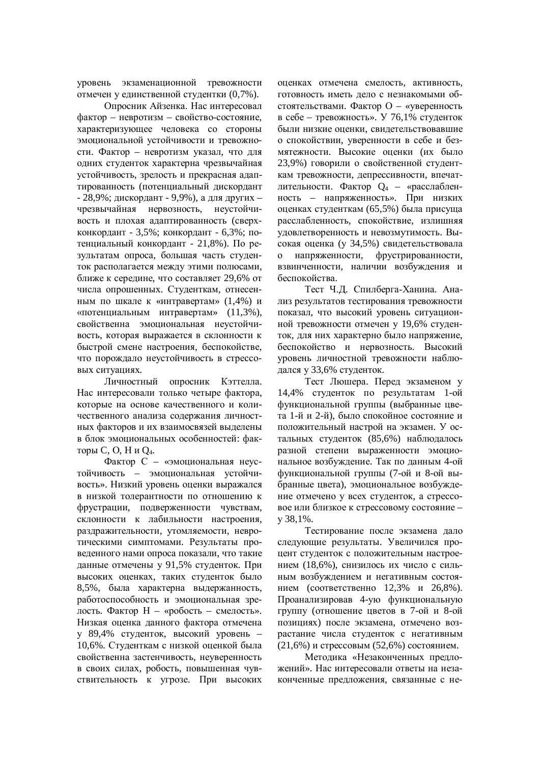уровень экзаменационной тревожности отмечен у единственной студентки (0,7%).

Опросник Айзенка. Нас интересовал фактор – невротизм – свойство-состояние, характеризующее человека со стороны эмоциональной устойчивости и тревожности. Фактор – невротизм указал, что для одних студенток характерна чрезвычайная устойчивость, зрелость и прекрасная адаптированность (потенциальный дискордант - 28,9%; дискордант - 9,9%), а для других – чрезвычайная нервозность, неустойчивость и плохая адаптированность (сверхконкордант - 3,5%; конкордант - 6,3%; потенциальный конкордант - 21,8%). По результатам опроса, большая часть студенток располагается между этими полюсами, ближе к середине, что составляет 29,6% от числа опрошенных. Студенткам, отнесенным по шкале к «интравертам» (1,4%) и «потенциальным интравертам» (11,3%), свойственна эмоциональная неустойчивость, которая выражается в склонности к быстрой смене настроения, беспокойстве, что порождало неустойчивость в стрессовых ситуациях.

Личностный опросник Кэттелла. Нас интересовали только четыре фактора. которые на основе качественного и количественного анализа содержания личностных факторов и их взаимосвязей выделены в блок эмоциональных особенностей: факторы С, О, Н и Q<sub>4</sub>.

Фактор С – «эмоциональная неустойчивость – эмоциональная устойчивость». Низкий уровень оценки выражался в низкой толерантности по отношению к фрустрации, подверженности чувствам, склонности к лабильности настроения, раздражительности, утомляемости, невротическими симптомами. Результаты проведенного нами опроса показали, что такие данные отмечены у 91,5% студенток. При высоких оценках, таких студенток было 8,5%, была характерна выдержанность, работоспособность и эмоциональная зрелость. Фактор Н – «робость – смелость». Низкая оценка данного фактора отмечена у 89.4% студенток, высокий уровень -10,6%. Студенткам с низкой оценкой была свойственна застенчивость, неуверенность в своих силах, робость, повышенная чувствительность к угрозе. При высоких оценках отмечена смелость, активность, готовность иметь дело с незнакомыми обстоятельствами. Фактор О – «уверенность в себе – тревожность». У 76,1% студенток были низкие оценки, свидетельствовавшие о спокойствии, уверенности в себе и безмятежности. Высокие оценки (их было 23,9%) говорили о свойственной студенткам тревожности, депрессивности, впечатлительности. Фактор Q<sub>4</sub> – «расслабленность – напряженность». При низких оценках студенткам (65,5%) была присуща расслабленность, спокойствие, излишняя удовлетворенность и невозмутимость. Высокая оценка (у 34,5%) свидетельствовала о напряженности, фрустрированности, взвинченности, наличии возбуждения и беспокойства.

Тест Ч.Д. Спилберга-Ханина. Анализ результатов тестирования тревожности показал, что высокий уровень ситуационной тревожности отмечен у 19,6% студенток, для них характерно было напряжение, беспокойство и нервозность. Высокий уровень личностной тревожности наблюдался у 33,6% студенток.

Тест Люшера. Перед экзаменом у 14,4% студенток по результатам 1-ой функциональной группы (выбранные цвета 1-й и 2-й), было спокойное состояние и положительный настрой на экзамен. У остальных студенток (85,6%) наблюдалось разной степени выраженности эмоциональное возбуждение. Так по данным 4-ой функциональной группы (7-ой и 8-ой выбранные цвета), эмоциональное возбуждение отмечено у всех студенток, а стрессовое или близкое к стрессовому состояние ɭ 38,1%.

Тестирование после экзамена дало следующие результаты. Увеличился процент студенток с положительным настроением (18,6%), снизилось их число с сильным возбуждением и негативным состоянием (соответственно  $12.3\%$  и  $26.8\%$ ). Проанализировав 4-ую функциональную группу (отношение цветов в 7-ой и 8-ой позициях) после экзамена, отмечено возрастание числа студенток с негативным  $(21,6%)$  и стрессовым  $(52,6%)$  состоянием.

Метолика «Незаконченных предложений». Нас интересовали ответы на незаконченные предложения, связанные с не-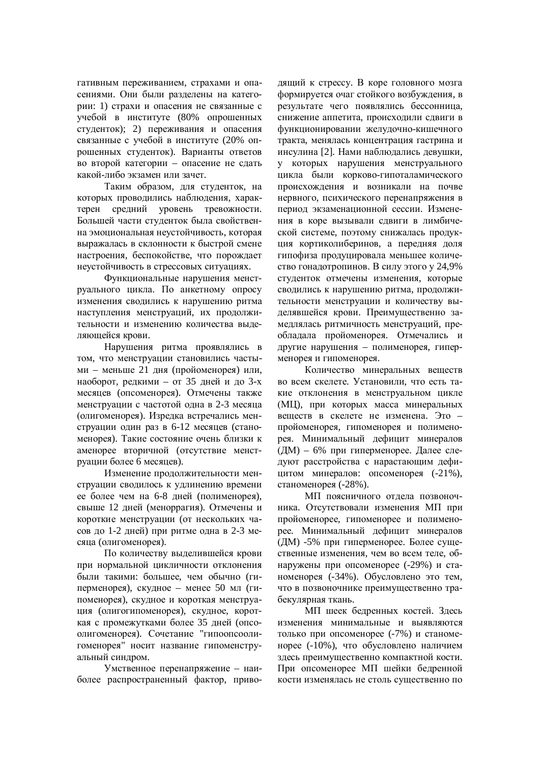гативным переживанием, страхами и опасениями. Они были разделены на категории: 1) страхи и опасения не связанные с учебой в институте (80% опрошенных студенток); 2) переживания и опасения связанные с учебой в институте (20% опрошенных студенток). Варианты ответов во второй категории – опасение не сдать какой-либо экзамен или зачет.

Таким образом, для студенток, на которых проводились наблюдения, характерен средний уровень тревожности. Большей части студенток была свойственна эмоциональная неустойчивость, которая выражалась в склонности к быстрой смене настроения, беспокойстве, что порождает неустойчивость в стрессовых ситуациях.

Функциональные нарушения менструального цикла. По анкетному опросу изменения сводились к нарушению ритма наступления менструаций, их продолжительности и изменению количества вылеляющейся крови.

Нарушения ритма проявлялись в том, что менструации становились частыми – меньше 21 дня (пройоменорея) или, наоборот, редкими – от 35 дней и до 3-х месяцев (опсоменорея). Отмечены также менструации с частотой одна в 2-3 месяца (олигоменорея). Изредка встречались менструации один раз в 6-12 месяцев (станоменорея). Такие состояние очень близки к аменорее вторичной (отсутствие менструации более 6 месяцев).

Изменение продолжительности менструации сводилось к удлинению времени ее более чем на 6-8 дней (полименорея), свыше 12 дней (меноррагия). Отмечены и короткие менструации (от нескольких часов до 1-2 дней) при ритме одна в 2-3 месяца (олигоменорея).

По количеству выделившейся крови при нормальной цикличности отклонения были такими: большее, чем обычно (гиперменорея), скудное – менее 50 мл (гипоменорея), скудное и короткая менструация (олигогипоменорея), скудное, короткая с промежутками более 35 дней (опсоолигоменорея). Сочетание "гипоопсоолигоменорея" носит название гипоменструальный синдром.

Умственное перенапряжение – наиболее распространенный фактор, приводящий к стрессу. В коре головного мозга формируется очаг стойкого возбуждения, в результате чего появлялись бессонница. снижение аппетита, происходили сдвиги в функционировании желудочно-кишечного тракта, менялась концентрация гастрина и инсулина [2]. Нами наблюдались девушки, у которых нарушения менструального цикла были корково-гипоталамического происхождения и возникали на почве нервного, психического перенапряжения в период экзаменационной сессии. Изменения в коре вызывали сдвиги в лимбической системе, поэтому снижалась продукция кортиколиберинов, а передняя доля гипофиза продуцировала меньшее количество гонадотропинов. В силу этого у 24,9% студенток отмечены изменения, которые сводились к нарушению ритма, продолжительности менструации и количеству выделявшейся крови. Преимущественно замедлялась ритмичность менструаций, преобладала пройоменорея. Отмечались и другие нарушения – полименорея, гиперменорея и гипоменорея.

Количество минеральных веществ во всем скелете. Установили, что есть такие отклонения в менструальном цикле (МЦ), при которых масса минеральных веществ в скелете не изменена. Это – пройоменорея, гипоменорея и полименорея. Минимальный дефицит минералов (ДМ) – 6% при гиперменорее. Далее следуют расстройства с нарастающим дефицитом минералов: опсоменорея (-21%), станоменорея (-28%).

МП поясничного отдела позвоночника. Отсутствовали изменения МП при пройоменорее, гипоменорее и полименорее. Минимальный дефицит минералов  $(IIM)$  -5% при гиперменорее. Более сушественные изменения, чем во всем теле, обнаружены при опсоменорее (-29%) и станоменорея (-34%). Обусловлено это тем, что в позвоночнике преимущественно трабекулярная ткань.

МП шеек бедренных костей. Здесь изменения минимальные и выявляются только при опсоменорее (-7%) и станоменорее (-10%), что обусловлено наличием злесь преимущественно компактной кости. При опсоменорее МП шейки бедренной кости изменялась не столь существенно по